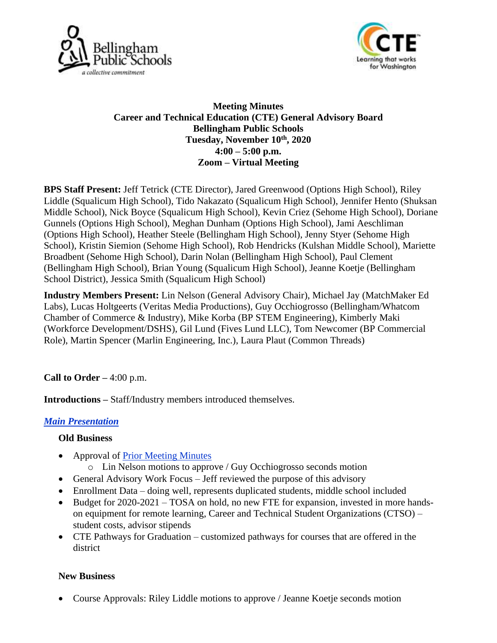



## **Meeting Minutes Career and Technical Education (CTE) General Advisory Board Bellingham Public Schools Tuesday, November 10 th, 2020 4:00 – 5:00 p.m. Zoom – Virtual Meeting**

**BPS Staff Present:** Jeff Tetrick (CTE Director), Jared Greenwood (Options High School), Riley Liddle (Squalicum High School), Tido Nakazato (Squalicum High School), Jennifer Hento (Shuksan Middle School), Nick Boyce (Squalicum High School), Kevin Criez (Sehome High School), Doriane Gunnels (Options High School), Meghan Dunham (Options High School), Jami Aeschliman (Options High School), Heather Steele (Bellingham High School), Jenny Styer (Sehome High School), Kristin Siemion (Sehome High School), Rob Hendricks (Kulshan Middle School), Mariette Broadbent (Sehome High School), Darin Nolan (Bellingham High School), Paul Clement (Bellingham High School), Brian Young (Squalicum High School), Jeanne Koetje (Bellingham School District), Jessica Smith (Squalicum High School)

**Industry Members Present:** Lin Nelson (General Advisory Chair), Michael Jay (MatchMaker Ed Labs), Lucas Holtgeerts (Veritas Media Productions), Guy Occhiogrosso (Bellingham/Whatcom Chamber of Commerce & Industry), Mike Korba (BP STEM Engineering), Kimberly Maki (Workforce Development/DSHS), Gil Lund (Fives Lund LLC), Tom Newcomer (BP Commercial Role), Martin Spencer (Marlin Engineering, Inc.), Laura Plaut (Common Threads)

## **Call to Order –** 4:00 p.m.

**Introductions –** Staff/Industry members introduced themselves.

# *[Main Presentation](file:///C:/Users/jesmith/Documents/Fall%20-%20November%202020/Fall%202020%20GAC.pptx)*

## **Old Business**

- Approval of [Prior Meeting Minutes](file:///C:/Users/jesmith/Documents/Fall%20-%20November%202020/Advisory%20Board%20Minutes%205.19.2020.pdf) o Lin Nelson motions to approve / Guy Occhiogrosso seconds motion
- General Advisory Work Focus Jeff reviewed the purpose of this advisory
- Enrollment Data doing well, represents duplicated students, middle school included
- Budget for 2020-2021 TOSA on hold, no new FTE for expansion, invested in more hands-
- on equipment for remote learning, Career and Technical Student Organizations (CTSO) student costs, advisor stipends
- CTE Pathways for Graduation customized pathways for courses that are offered in the district

## **New Business**

• Course Approvals: Riley Liddle motions to approve / Jeanne Koetje seconds motion